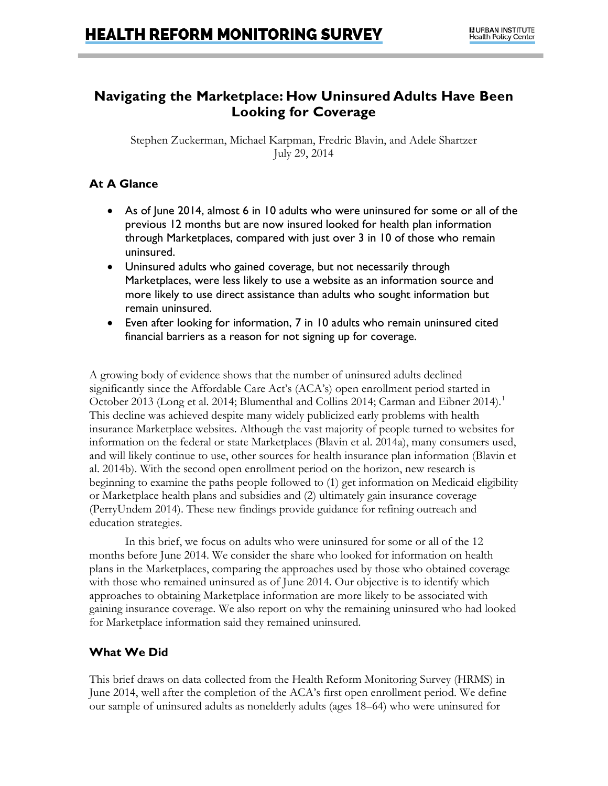# **Navigating the Marketplace: How Uninsured Adults Have Been Looking for Coverage**

Stephen Zuckerman, Michael Karpman, Fredric Blavin, and Adele Shartzer July 29, 2014

# **At A Glance**

- As of June 2014, almost 6 in 10 adults who were uninsured for some or all of the previous 12 months but are now insured looked for health plan information through Marketplaces, compared with just over 3 in 10 of those who remain uninsured.
- Uninsured adults who gained coverage, but not necessarily through Marketplaces, were less likely to use a website as an information source and more likely to use direct assistance than adults who sought information but remain uninsured.
- Even after looking for information, 7 in 10 adults who remain uninsured cited financial barriers as a reason for not signing up for coverage.

A growing body of evidence shows that the number of uninsured adults declined significantly since the Affordable Care Act's (ACA's) open enrollment period started in October 20[1](#page-7-0)3 (Long et al. 2014; Blumenthal and Collins 2014; Carman and Eibner 2014).<sup>1</sup> This decline was achieved despite many widely publicized early problems with health insurance Marketplace websites. Although the vast majority of people turned to websites for information on the federal or state Marketplaces (Blavin et al. 2014a), many consumers used, and will likely continue to use, other sources for health insurance plan information (Blavin et al. 2014b). With the second open enrollment period on the horizon, new research is beginning to examine the paths people followed to (1) get information on Medicaid eligibility or Marketplace health plans and subsidies and (2) ultimately gain insurance coverage (PerryUndem 2014). These new findings provide guidance for refining outreach and education strategies.

In this brief, we focus on adults who were uninsured for some or all of the 12 months before June 2014. We consider the share who looked for information on health plans in the Marketplaces, comparing the approaches used by those who obtained coverage with those who remained uninsured as of June 2014. Our objective is to identify which approaches to obtaining Marketplace information are more likely to be associated with gaining insurance coverage. We also report on why the remaining uninsured who had looked for Marketplace information said they remained uninsured.

# **What We Did**

This brief draws on data collected from the Health Reform Monitoring Survey (HRMS) in June 2014, well after the completion of the ACA's first open enrollment period. We define our sample of uninsured adults as nonelderly adults (ages 18–64) who were uninsured for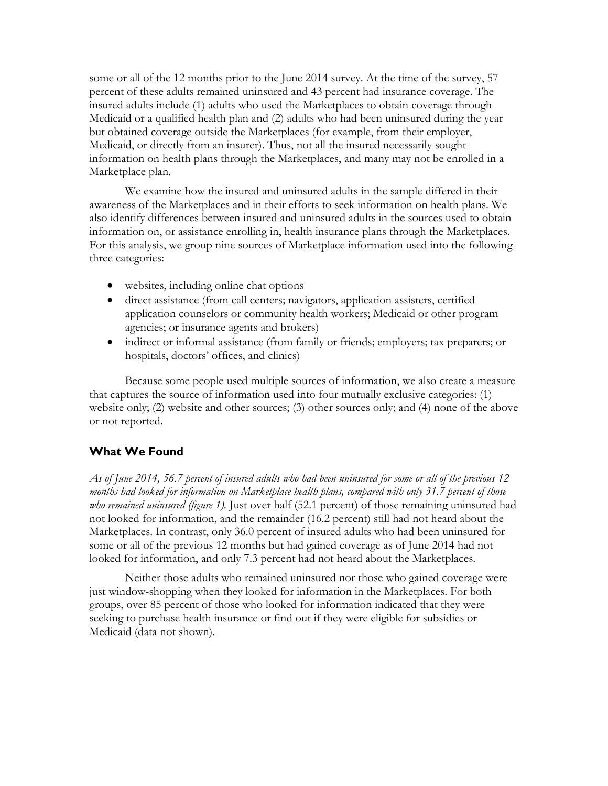some or all of the 12 months prior to the June 2014 survey. At the time of the survey, 57 percent of these adults remained uninsured and 43 percent had insurance coverage. The insured adults include (1) adults who used the Marketplaces to obtain coverage through Medicaid or a qualified health plan and (2) adults who had been uninsured during the year but obtained coverage outside the Marketplaces (for example, from their employer, Medicaid, or directly from an insurer). Thus, not all the insured necessarily sought information on health plans through the Marketplaces, and many may not be enrolled in a Marketplace plan.

We examine how the insured and uninsured adults in the sample differed in their awareness of the Marketplaces and in their efforts to seek information on health plans. We also identify differences between insured and uninsured adults in the sources used to obtain information on, or assistance enrolling in, health insurance plans through the Marketplaces. For this analysis, we group nine sources of Marketplace information used into the following three categories:

- websites, including online chat options
- direct assistance (from call centers; navigators, application assisters, certified application counselors or community health workers; Medicaid or other program agencies; or insurance agents and brokers)
- indirect or informal assistance (from family or friends; employers; tax preparers; or hospitals, doctors' offices, and clinics)

Because some people used multiple sources of information, we also create a measure that captures the source of information used into four mutually exclusive categories: (1) website only; (2) website and other sources; (3) other sources only; and (4) none of the above or not reported.

### **What We Found**

*As of June 2014, 56.7 percent of insured adults who had been uninsured for some or all of the previous 12 months had looked for information on Marketplace health plans, compared with only 31.7 percent of those who remained uninsured (figure 1).* Just over half (52.1 percent) of those remaining uninsured had not looked for information, and the remainder (16.2 percent) still had not heard about the Marketplaces. In contrast, only 36.0 percent of insured adults who had been uninsured for some or all of the previous 12 months but had gained coverage as of June 2014 had not looked for information, and only 7.3 percent had not heard about the Marketplaces.

Neither those adults who remained uninsured nor those who gained coverage were just window-shopping when they looked for information in the Marketplaces. For both groups, over 85 percent of those who looked for information indicated that they were seeking to purchase health insurance or find out if they were eligible for subsidies or Medicaid (data not shown).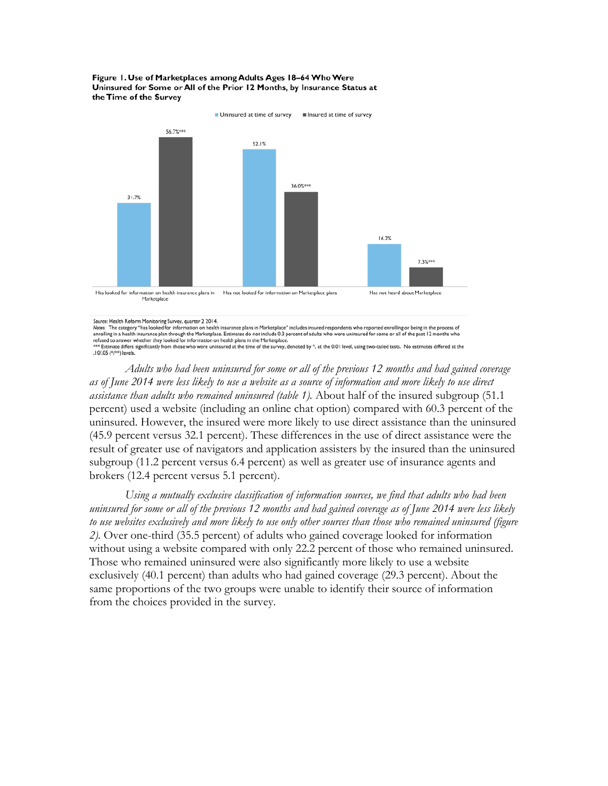#### Figure 1. Use of Marketplaces among Adults Ages 18-64 Who Were Uninsured for Some or All of the Prior 12 Months, by Insurance Status at the Time of the Survey



Source: Health Reform Monitoring Survey, quarter 2 2014.

Notes: The category "has looked for information on health insurance plans in Marketplace" includes insured respondents who reported enrolling or being in the process of enrolling in a health insurance plan through the Marketplace. Estimates do not include 0.3 percent of adults who were uninsured for some or all of the past 12 months who refused to answer whether they looked for information on health plans in the Marketplace.<br>\*\*\* Estimate differs significantly from those who were uninsured at the time of the survey, denoted by ^, at the 0.01 level, using t .10/.05 (\*/\*\*) levels.

*Adults who had been uninsured for some or all of the previous 12 months and had gained coverage as of June 2014 were less likely to use a website as a source of information and more likely to use direct assistance than adults who remained uninsured (table 1).* About half of the insured subgroup (51.1 percent) used a website (including an online chat option) compared with 60.3 percent of the uninsured. However, the insured were more likely to use direct assistance than the uninsured (45.9 percent versus 32.1 percent). These differences in the use of direct assistance were the result of greater use of navigators and application assisters by the insured than the uninsured subgroup (11.2 percent versus 6.4 percent) as well as greater use of insurance agents and brokers (12.4 percent versus 5.1 percent).

*Using a mutually exclusive classification of information sources, we find that adults who had been uninsured for some or all of the previous 12 months and had gained coverage as of June 2014 were less likely to use websites exclusively and more likely to use only other sources than those who remained uninsured (figure 2).* Over one-third (35.5 percent) of adults who gained coverage looked for information without using a website compared with only 22.2 percent of those who remained uninsured. Those who remained uninsured were also significantly more likely to use a website exclusively (40.1 percent) than adults who had gained coverage (29.3 percent). About the same proportions of the two groups were unable to identify their source of information from the choices provided in the survey.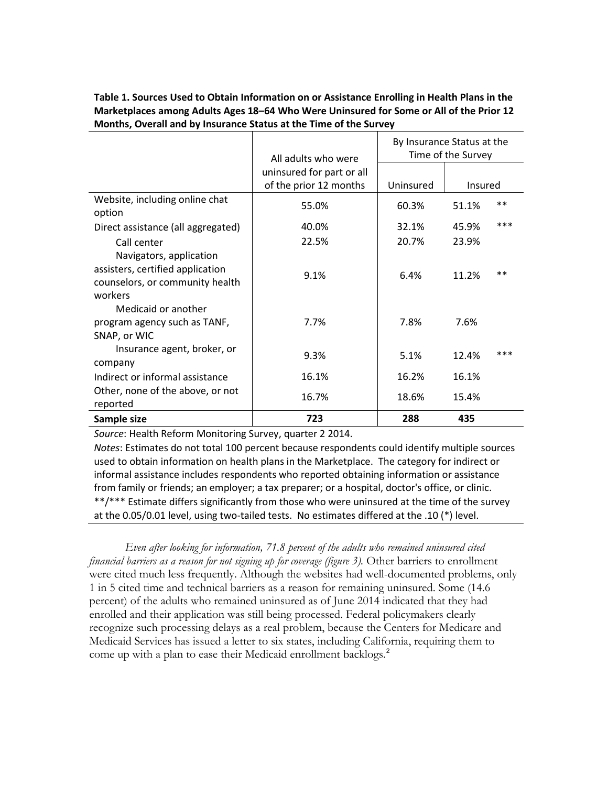### **Table 1. Sources Used to Obtain Information on or Assistance Enrolling in Health Plans in the Marketplaces among Adults Ages 18–64 Who Were Uninsured for Some or All of the Prior 12 Months, Overall and by Insurance Status at the Time of the Survey**

|                                    | All adults who were       | By Insurance Status at the<br>Time of the Survey |         |       |
|------------------------------------|---------------------------|--------------------------------------------------|---------|-------|
|                                    | uninsured for part or all |                                                  |         |       |
|                                    | of the prior 12 months    | Uninsured                                        | Insured |       |
| Website, including online chat     | 55.0%                     | 60.3%                                            | 51.1%   | $***$ |
| option                             |                           |                                                  |         |       |
| Direct assistance (all aggregated) | 40.0%                     | 32.1%                                            | 45.9%   | ***   |
| Call center                        | 22.5%                     | 20.7%                                            | 23.9%   |       |
| Navigators, application            |                           |                                                  |         |       |
| assisters, certified application   | 9.1%                      | 6.4%                                             | 11.2%   | $***$ |
| counselors, or community health    |                           |                                                  |         |       |
| workers                            |                           |                                                  |         |       |
| Medicaid or another                |                           |                                                  |         |       |
| program agency such as TANF,       | 7.7%                      | 7.8%                                             | 7.6%    |       |
| SNAP, or WIC                       |                           |                                                  |         |       |
| Insurance agent, broker, or        | 9.3%                      | 5.1%                                             | 12.4%   | ***   |
| company                            |                           |                                                  |         |       |
| Indirect or informal assistance    | 16.1%                     | 16.2%                                            | 16.1%   |       |
| Other, none of the above, or not   | 16.7%                     | 18.6%                                            | 15.4%   |       |
| reported                           |                           |                                                  |         |       |
| Sample size                        | 723                       | 288                                              | 435     |       |

*Source*: Health Reform Monitoring Survey, quarter 2 2014.

*Notes*: Estimates do not total 100 percent because respondents could identify multiple sources used to obtain information on health plans in the Marketplace. The category for indirect or informal assistance includes respondents who reported obtaining information or assistance from family or friends; an employer; a tax preparer; or a hospital, doctor's office, or clinic. \*\*/\*\*\* Estimate differs significantly from those who were uninsured at the time of the survey at the 0.05/0.01 level, using two-tailed tests. No estimates differed at the .10 (\*) level.

*Even after looking for information, 71.8 percent of the adults who remained uninsured cited financial barriers as a reason for not signing up for coverage (figure 3).* Other barriers to enrollment were cited much less frequently. Although the websites had well-documented problems, only 1 in 5 cited time and technical barriers as a reason for remaining uninsured. Some (14.6 percent) of the adults who remained uninsured as of June 2014 indicated that they had enrolled and their application was still being processed. Federal policymakers clearly recognize such processing delays as a real problem, because the Centers for Medicare and Medicaid Services has issued a letter to six states, including California, requiring them to come up with a plan to ease their Medicaid enrollment backlogs.<sup>[2](#page-7-1)</sup>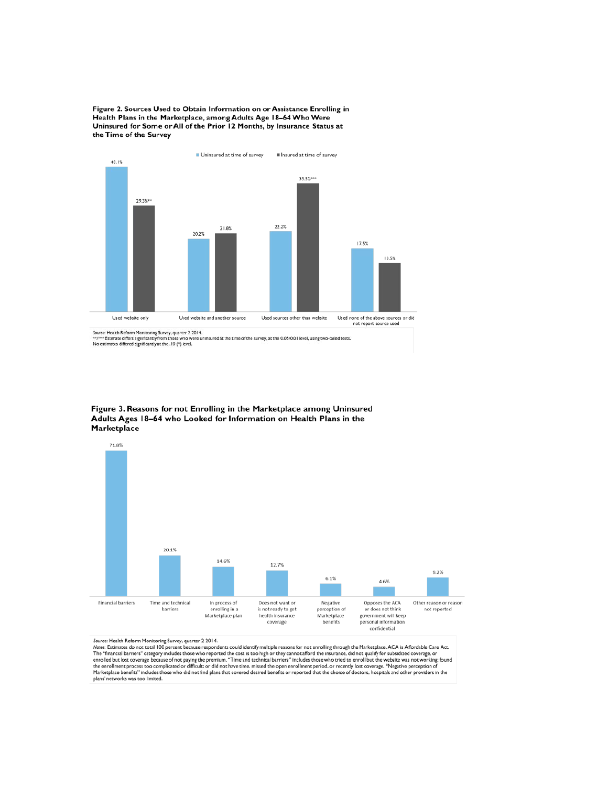Figure 2. Sources Used to Obtain Information on or Assistance Enrolling in Health Plans in the Marketplace, among Adults Age 18-64 Who Were Uninsured for Some or All of the Prior 12 Months, by Insurance Status at the Time of the Survey



Source: Health Reform Monitoring Survey, quarter 2 2014.<br>\*\*/\*\*\* Estimate differs significantly from those who were uninsured at the time of the survey, at the 0.05/0.01 level, using two-tailed tests.<br>No estimates differed

Figure 3. Reasons for not Enrolling in the Marketplace among Uninsured Adults Ages 18-64 who Looked for Information on Health Plans in the Marketplace



Source: Health Reform Monitoring Survey, quarter 2 2014.<br>Notes: Estimates do not total 100 percent because respondents could identify multiple reasons for not enrolling through the Marketplace. ACA is Affordable Care Act.<br> Marketplace benefits" includes those who did not find plans that covered desired benefits or reported that the choice of doctors, hospitals and other providers in the<br>plans' networks was too limited.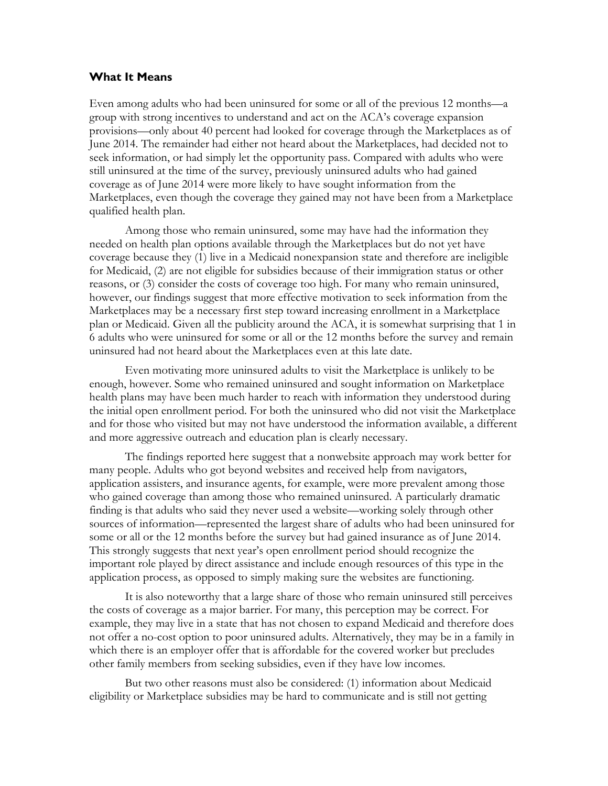### **What It Means**

Even among adults who had been uninsured for some or all of the previous 12 months—a group with strong incentives to understand and act on the ACA's coverage expansion provisions—only about 40 percent had looked for coverage through the Marketplaces as of June 2014. The remainder had either not heard about the Marketplaces, had decided not to seek information, or had simply let the opportunity pass. Compared with adults who were still uninsured at the time of the survey, previously uninsured adults who had gained coverage as of June 2014 were more likely to have sought information from the Marketplaces, even though the coverage they gained may not have been from a Marketplace qualified health plan.

Among those who remain uninsured, some may have had the information they needed on health plan options available through the Marketplaces but do not yet have coverage because they (1) live in a Medicaid nonexpansion state and therefore are ineligible for Medicaid, (2) are not eligible for subsidies because of their immigration status or other reasons, or (3) consider the costs of coverage too high. For many who remain uninsured, however, our findings suggest that more effective motivation to seek information from the Marketplaces may be a necessary first step toward increasing enrollment in a Marketplace plan or Medicaid. Given all the publicity around the ACA, it is somewhat surprising that 1 in 6 adults who were uninsured for some or all or the 12 months before the survey and remain uninsured had not heard about the Marketplaces even at this late date.

Even motivating more uninsured adults to visit the Marketplace is unlikely to be enough, however. Some who remained uninsured and sought information on Marketplace health plans may have been much harder to reach with information they understood during the initial open enrollment period. For both the uninsured who did not visit the Marketplace and for those who visited but may not have understood the information available, a different and more aggressive outreach and education plan is clearly necessary.

The findings reported here suggest that a nonwebsite approach may work better for many people. Adults who got beyond websites and received help from navigators, application assisters, and insurance agents, for example, were more prevalent among those who gained coverage than among those who remained uninsured. A particularly dramatic finding is that adults who said they never used a website—working solely through other sources of information—represented the largest share of adults who had been uninsured for some or all or the 12 months before the survey but had gained insurance as of June 2014. This strongly suggests that next year's open enrollment period should recognize the important role played by direct assistance and include enough resources of this type in the application process, as opposed to simply making sure the websites are functioning.

It is also noteworthy that a large share of those who remain uninsured still perceives the costs of coverage as a major barrier. For many, this perception may be correct. For example, they may live in a state that has not chosen to expand Medicaid and therefore does not offer a no-cost option to poor uninsured adults. Alternatively, they may be in a family in which there is an employer offer that is affordable for the covered worker but precludes other family members from seeking subsidies, even if they have low incomes.

But two other reasons must also be considered: (1) information about Medicaid eligibility or Marketplace subsidies may be hard to communicate and is still not getting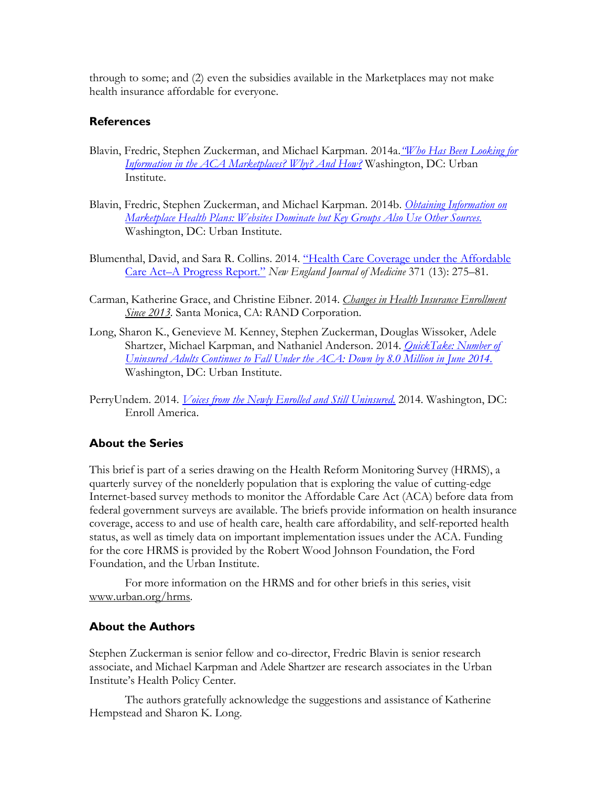through to some; and (2) even the subsidies available in the Marketplaces may not make health insurance affordable for everyone.

## **References**

- Blavin, Fredric, Stephen Zuckerman, and Michael Karpman. 2014a.*["Who Has Been Looking for](http://hrms.urban.org/briefs/early-market-experiences.html)  [Information in the ACA Marketplaces? Why? And How?](http://hrms.urban.org/briefs/early-market-experiences.html)* Washington, DC: Urban Institute.
- Blavin, Fredric, Stephen Zuckerman, and Michael Karpman. 2014b. *[Obtaining Information on](http://hrms.urban.org/briefs/obtaining-information-on-marketplace.html%23fn1)  [Marketplace Health Plans: Websites Dominate but Key Groups Also Use Other Sources.](http://hrms.urban.org/briefs/obtaining-information-on-marketplace.html%23fn1)* Washington, DC: Urban Institute.
- Blumenthal, David, and Sara R. Collins. 2014. ["Health Care Coverage under](http://www.nejm.org/doi/pdf/10.1056/NEJMhpr1405667) the Affordable [Care Act–A Progress Report."](http://www.nejm.org/doi/pdf/10.1056/NEJMhpr1405667) *New England Journal of Medicine* 371 (13): 275–81.
- Carman, Katherine Grace, and Christine Eibner. 2014. *Changes in Health Insurance [Enrollment](http://www.rand.org/pubs/research_reports/RR656.html) Since [2013.](http://www.rand.org/pubs/research_reports/RR656.html)* Santa Monica, CA: RAND Corporation.
- Long, Sharon K., Genevieve M. Kenney, Stephen Zuckerman, Douglas Wissoker, Adele Shartzer, Michael Karpman, and Nathaniel Anderson. 2014. *[QuickTake: Number of](http://hrms.urban.org/quicktakes/Number-of-Uninsured-Adults-Continues-to-Fall.html)  [Uninsured Adults Continues to Fall Under the ACA: Down by 8.0 Million in June 2014.](http://hrms.urban.org/quicktakes/Number-of-Uninsured-Adults-Continues-to-Fall.html)* Washington, DC: Urban Institute.
- PerryUndem. 2014. *[Voices from the Newly Enrolled and Still Uninsured.](https://s3.amazonaws.com/assets.enrollamerica.org/wp-content/uploads/2013/11/Post-Enrollment-Survey.pdf)* 2014. Washington, DC: Enroll America.

### **About the Series**

This brief is part of a series drawing on the Health Reform Monitoring Survey (HRMS), a quarterly survey of the nonelderly population that is exploring the value of cutting-edge Internet-based survey methods to monitor the Affordable Care Act (ACA) before data from federal government surveys are available. The briefs provide information on health insurance coverage, access to and use of health care, health care affordability, and self-reported health status, as well as timely data on important implementation issues under the ACA. Funding for the core HRMS is provided by the Robert Wood Johnson Foundation, the Ford Foundation, and the Urban Institute.

For more information on the HRMS and for other briefs in this series, visit [www.urban.org/hrms.](http://hrms.urban.org/index.html)

#### **About the Authors**

Stephen Zuckerman is senior fellow and co-director, Fredric Blavin is senior research associate, and Michael Karpman and Adele Shartzer are research associates in the Urban Institute's Health Policy Center.

The authors gratefully acknowledge the suggestions and assistance of Katherine Hempstead and Sharon K. Long.